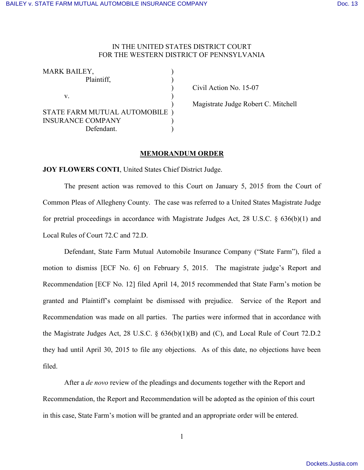## IN THE UNITED STATES DISTRICT COURT FOR THE WESTERN DISTRICT OF PENNSYLVANIA

| <b>MARK BAILEY,</b>            |  |
|--------------------------------|--|
| Plaintiff,                     |  |
|                                |  |
| V.                             |  |
|                                |  |
| STATE FARM MUTUAL AUTOMOBILE ) |  |
| <b>INSURANCE COMPANY</b>       |  |
| Defendant.                     |  |

) Civil Action No. 15-07

) Magistrate Judge Robert C. Mitchell

## **MEMORANDUM ORDER**

**JOY FLOWERS CONTI**, United States Chief District Judge.

The present action was removed to this Court on January 5, 2015 from the Court of Common Pleas of Allegheny County. The case was referred to a United States Magistrate Judge for pretrial proceedings in accordance with Magistrate Judges Act, 28 U.S.C. § 636(b)(1) and Local Rules of Court 72.C and 72.D.

Defendant, State Farm Mutual Automobile Insurance Company ("State Farm"), filed a motion to dismiss [ECF No. 6] on February 5, 2015. The magistrate judge's Report and Recommendation [ECF No. 12] filed April 14, 2015 recommended that State Farm's motion be granted and Plaintiff's complaint be dismissed with prejudice. Service of the Report and Recommendation was made on all parties. The parties were informed that in accordance with the Magistrate Judges Act, 28 U.S.C. § 636(b)(1)(B) and (C), and Local Rule of Court 72.D.2 they had until April 30, 2015 to file any objections. As of this date, no objections have been filed.

After a *de novo* review of the pleadings and documents together with the Report and Recommendation, the Report and Recommendation will be adopted as the opinion of this court in this case, State Farm's motion will be granted and an appropriate order will be entered.

1